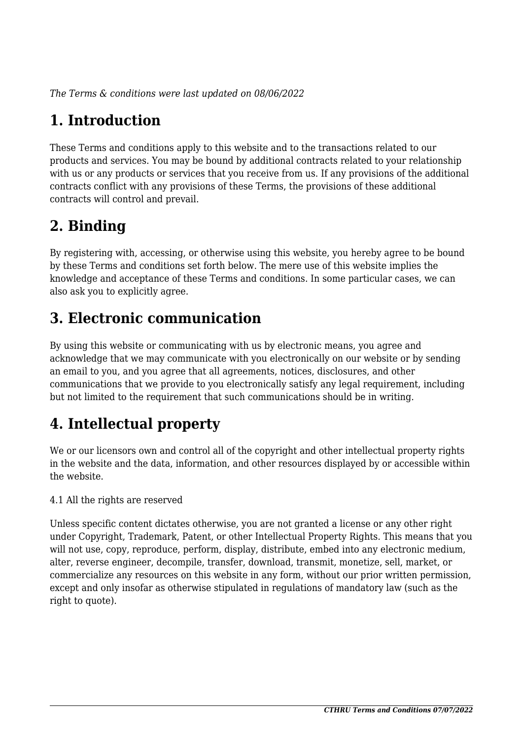*The Terms & conditions were last updated on 08/06/2022*

# **1. Introduction**

These Terms and conditions apply to this website and to the transactions related to our products and services. You may be bound by additional contracts related to your relationship with us or any products or services that you receive from us. If any provisions of the additional contracts conflict with any provisions of these Terms, the provisions of these additional contracts will control and prevail.

## **2. Binding**

By registering with, accessing, or otherwise using this website, you hereby agree to be bound by these Terms and conditions set forth below. The mere use of this website implies the knowledge and acceptance of these Terms and conditions. In some particular cases, we can also ask you to explicitly agree.

## **3. Electronic communication**

By using this website or communicating with us by electronic means, you agree and acknowledge that we may communicate with you electronically on our website or by sending an email to you, and you agree that all agreements, notices, disclosures, and other communications that we provide to you electronically satisfy any legal requirement, including but not limited to the requirement that such communications should be in writing.

# **4. Intellectual property**

We or our licensors own and control all of the copyright and other intellectual property rights in the website and the data, information, and other resources displayed by or accessible within the website.

4.1 All the rights are reserved

Unless specific content dictates otherwise, you are not granted a license or any other right under Copyright, Trademark, Patent, or other Intellectual Property Rights. This means that you will not use, copy, reproduce, perform, display, distribute, embed into any electronic medium, alter, reverse engineer, decompile, transfer, download, transmit, monetize, sell, market, or commercialize any resources on this website in any form, without our prior written permission, except and only insofar as otherwise stipulated in regulations of mandatory law (such as the right to quote).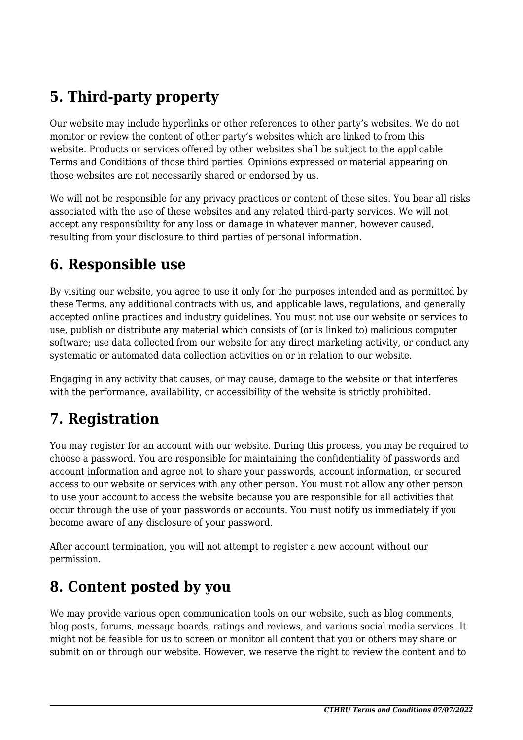## **5. Third-party property**

Our website may include hyperlinks or other references to other party's websites. We do not monitor or review the content of other party's websites which are linked to from this website. Products or services offered by other websites shall be subject to the applicable Terms and Conditions of those third parties. Opinions expressed or material appearing on those websites are not necessarily shared or endorsed by us.

We will not be responsible for any privacy practices or content of these sites. You bear all risks associated with the use of these websites and any related third-party services. We will not accept any responsibility for any loss or damage in whatever manner, however caused, resulting from your disclosure to third parties of personal information.

#### **6. Responsible use**

By visiting our website, you agree to use it only for the purposes intended and as permitted by these Terms, any additional contracts with us, and applicable laws, regulations, and generally accepted online practices and industry guidelines. You must not use our website or services to use, publish or distribute any material which consists of (or is linked to) malicious computer software; use data collected from our website for any direct marketing activity, or conduct any systematic or automated data collection activities on or in relation to our website.

Engaging in any activity that causes, or may cause, damage to the website or that interferes with the performance, availability, or accessibility of the website is strictly prohibited.

## **7. Registration**

You may register for an account with our website. During this process, you may be required to choose a password. You are responsible for maintaining the confidentiality of passwords and account information and agree not to share your passwords, account information, or secured access to our website or services with any other person. You must not allow any other person to use your account to access the website because you are responsible for all activities that occur through the use of your passwords or accounts. You must notify us immediately if you become aware of any disclosure of your password.

After account termination, you will not attempt to register a new account without our permission.

#### **8. Content posted by you**

We may provide various open communication tools on our website, such as blog comments, blog posts, forums, message boards, ratings and reviews, and various social media services. It might not be feasible for us to screen or monitor all content that you or others may share or submit on or through our website. However, we reserve the right to review the content and to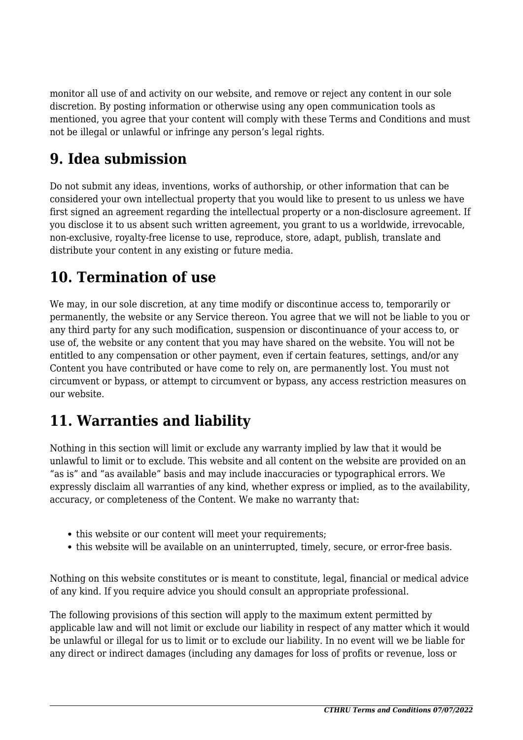monitor all use of and activity on our website, and remove or reject any content in our sole discretion. By posting information or otherwise using any open communication tools as mentioned, you agree that your content will comply with these Terms and Conditions and must not be illegal or unlawful or infringe any person's legal rights.

#### **9. Idea submission**

Do not submit any ideas, inventions, works of authorship, or other information that can be considered your own intellectual property that you would like to present to us unless we have first signed an agreement regarding the intellectual property or a non-disclosure agreement. If you disclose it to us absent such written agreement, you grant to us a worldwide, irrevocable, non-exclusive, royalty-free license to use, reproduce, store, adapt, publish, translate and distribute your content in any existing or future media.

#### **10. Termination of use**

We may, in our sole discretion, at any time modify or discontinue access to, temporarily or permanently, the website or any Service thereon. You agree that we will not be liable to you or any third party for any such modification, suspension or discontinuance of your access to, or use of, the website or any content that you may have shared on the website. You will not be entitled to any compensation or other payment, even if certain features, settings, and/or any Content you have contributed or have come to rely on, are permanently lost. You must not circumvent or bypass, or attempt to circumvent or bypass, any access restriction measures on our website.

## **11. Warranties and liability**

Nothing in this section will limit or exclude any warranty implied by law that it would be unlawful to limit or to exclude. This website and all content on the website are provided on an "as is" and "as available" basis and may include inaccuracies or typographical errors. We expressly disclaim all warranties of any kind, whether express or implied, as to the availability, accuracy, or completeness of the Content. We make no warranty that:

- this website or our content will meet your requirements:
- this website will be available on an uninterrupted, timely, secure, or error-free basis.

Nothing on this website constitutes or is meant to constitute, legal, financial or medical advice of any kind. If you require advice you should consult an appropriate professional.

The following provisions of this section will apply to the maximum extent permitted by applicable law and will not limit or exclude our liability in respect of any matter which it would be unlawful or illegal for us to limit or to exclude our liability. In no event will we be liable for any direct or indirect damages (including any damages for loss of profits or revenue, loss or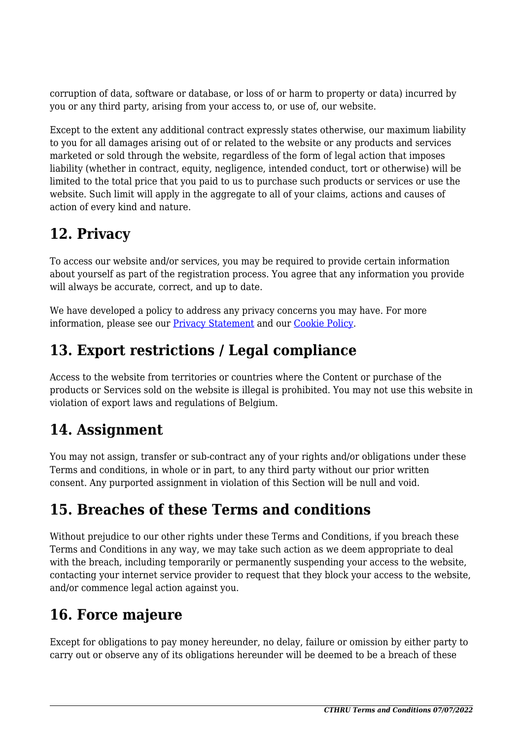corruption of data, software or database, or loss of or harm to property or data) incurred by you or any third party, arising from your access to, or use of, our website.

Except to the extent any additional contract expressly states otherwise, our maximum liability to you for all damages arising out of or related to the website or any products and services marketed or sold through the website, regardless of the form of legal action that imposes liability (whether in contract, equity, negligence, intended conduct, tort or otherwise) will be limited to the total price that you paid to us to purchase such products or services or use the website. Such limit will apply in the aggregate to all of your claims, actions and causes of action of every kind and nature.

## **12. Privacy**

To access our website and/or services, you may be required to provide certain information about yourself as part of the registration process. You agree that any information you provide will always be accurate, correct, and up to date.

We have developed a policy to address any privacy concerns you may have. For more information, please see our Privacy Statement and our [Cookie Policy](https://cthru.hopto.org/cookie-policy/).

## **13. Export restrictions / Legal compliance**

Access to the website from territories or countries where the Content or purchase of the products or Services sold on the website is illegal is prohibited. You may not use this website in violation of export laws and regulations of Belgium.

## **14. Assignment**

You may not assign, transfer or sub-contract any of your rights and/or obligations under these Terms and conditions, in whole or in part, to any third party without our prior written consent. Any purported assignment in violation of this Section will be null and void.

#### **15. Breaches of these Terms and conditions**

Without prejudice to our other rights under these Terms and Conditions, if you breach these Terms and Conditions in any way, we may take such action as we deem appropriate to deal with the breach, including temporarily or permanently suspending your access to the website, contacting your internet service provider to request that they block your access to the website, and/or commence legal action against you.

## **16. Force majeure**

Except for obligations to pay money hereunder, no delay, failure or omission by either party to carry out or observe any of its obligations hereunder will be deemed to be a breach of these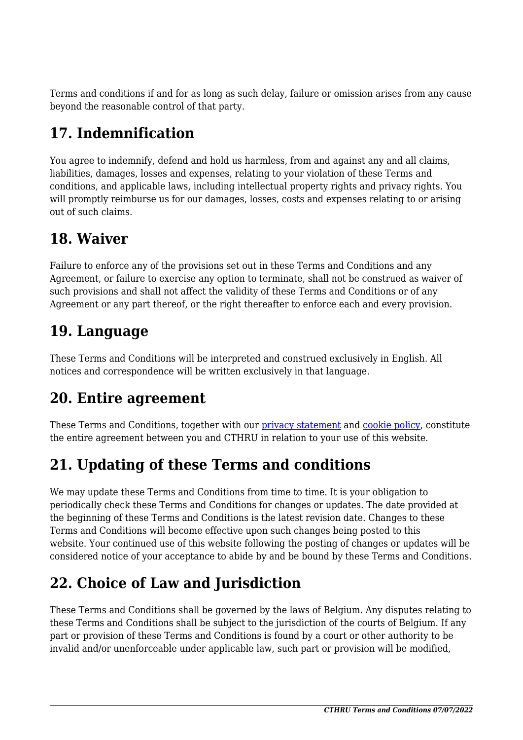Terms and conditions if and for as long as such delay, failure or omission arises from any cause beyond the reasonable control of that party.

# **17. Indemnification**

You agree to indemnify, defend and hold us harmless, from and against any and all claims, liabilities, damages, losses and expenses, relating to your violation of these Terms and conditions, and applicable laws, including intellectual property rights and privacy rights. You will promptly reimburse us for our damages, losses, costs and expenses relating to or arising out of such claims.

#### **18. Waiver**

Failure to enforce any of the provisions set out in these Terms and Conditions and any Agreement, or failure to exercise any option to terminate, shall not be construed as waiver of such provisions and shall not affect the validity of these Terms and Conditions or of any Agreement or any part thereof, or the right thereafter to enforce each and every provision.

#### **19. Language**

These Terms and Conditions will be interpreted and construed exclusively in English. All notices and correspondence will be written exclusively in that language.

## **20. Entire agreement**

These Terms and Conditions, together with our privacy statement and [cookie policy,](https://cthru.hopto.org/cookie-policy/) constitute the entire agreement between you and CTHRU in relation to your use of this website.

# **21. Updating of these Terms and conditions**

We may update these Terms and Conditions from time to time. It is your obligation to periodically check these Terms and Conditions for changes or updates. The date provided at the beginning of these Terms and Conditions is the latest revision date. Changes to these Terms and Conditions will become effective upon such changes being posted to this website. Your continued use of this website following the posting of changes or updates will be considered notice of your acceptance to abide by and be bound by these Terms and Conditions.

# **22. Choice of Law and Jurisdiction**

These Terms and Conditions shall be governed by the laws of Belgium. Any disputes relating to these Terms and Conditions shall be subject to the jurisdiction of the courts of Belgium. If any part or provision of these Terms and Conditions is found by a court or other authority to be invalid and/or unenforceable under applicable law, such part or provision will be modified,